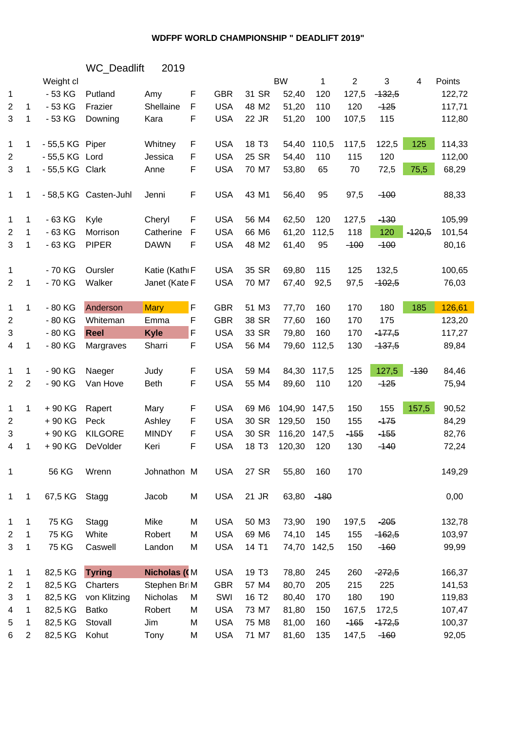## **WDFPF WORLD CHAMPIONSHIP " DEADLIFT 2019"**

| <b>WC</b> Deadlift | 2019 |  |
|--------------------|------|--|
|--------------------|------|--|

|                |                | Weight cl       |                       |                     |             |            |                   | <b>BW</b> | 1      | $\overline{c}$ | 3        | 4        | Points |
|----------------|----------------|-----------------|-----------------------|---------------------|-------------|------------|-------------------|-----------|--------|----------------|----------|----------|--------|
| $\mathbf{1}$   |                | $-53$ KG        | Putland               | Amy                 | F           | <b>GBR</b> | 31 SR             | 52,40     | 120    | 127,5          | $-132,5$ |          | 122,72 |
| 2              | $\mathbf 1$    | $-53$ KG        | Frazier               | Shellaine           | $\mathsf F$ | <b>USA</b> | 48 M2             | 51,20     | 110    | 120            | $-125$   |          | 117,71 |
| 3              | 1              | $-53$ KG        | Downing               | Kara                | F           | <b>USA</b> | 22 JR             | 51,20     | 100    | 107,5          | 115      |          | 112,80 |
| $\mathbf{1}$   | 1              | - 55,5 KG Piper |                       | Whitney             | F           | <b>USA</b> | 18 T <sub>3</sub> | 54,40     | 110,5  | 117,5          | 122,5    | 125      | 114,33 |
| 2              |                | - 55,5 KG       | Lord                  | Jessica             | F           | <b>USA</b> | 25 SR             | 54,40     | 110    | 115            | 120      |          | 112,00 |
| 3              | 1              | - 55,5 KG Clark |                       | Anne                | F           | <b>USA</b> | 70 M7             | 53,80     | 65     | 70             | 72,5     | 75,5     | 68,29  |
| 1              | 1              |                 | - 58,5 KG Casten-Juhl | Jenni               | F           | <b>USA</b> | 43 M1             | 56,40     | 95     | 97,5           | $-100$   |          | 88,33  |
| 1              | $\mathbf{1}$   | $-63$ KG        | Kyle                  | Cheryl              | F           | <b>USA</b> | 56 M4             | 62,50     | 120    | 127,5          | $-130$   |          | 105,99 |
| $\overline{2}$ | $\mathbf 1$    | $-63$ KG        | Morrison              | Catherine           | F           | <b>USA</b> | 66 M6             | 61,20     | 112,5  | 118            | 120      | $-420,5$ | 101,54 |
| 3              | 1              | $-63$ KG        | <b>PIPER</b>          | <b>DAWN</b>         | $\mathsf F$ | <b>USA</b> | 48 M2             | 61,40     | 95     | $-100$         | $-100$   |          | 80,16  |
| 1              |                | - 70 KG         | Oursler               | Katie (Kathı F      |             | <b>USA</b> | 35 SR             | 69,80     | 115    | 125            | 132,5    |          | 100,65 |
| $\overline{2}$ | 1              | - 70 KG         | Walker                | Janet (Kate F       |             | <b>USA</b> | 70 M7             | 67,40     | 92,5   | 97,5           | $-402,5$ |          | 76,03  |
| $\mathbf{1}$   | $\mathbf{1}$   | $-80$ KG        | Anderson              | <b>Mary</b>         | F           | <b>GBR</b> | 51 M3             | 77,70     | 160    | 170            | 180      | 185      | 126,61 |
| $\overline{2}$ |                | $-80$ KG        | Whiteman              | Emma                | F           | <b>GBR</b> | 38 SR             | 77,60     | 160    | 170            | 175      |          | 123,20 |
| 3              |                | $-80$ KG        | <b>Reel</b>           | <b>Kyle</b>         | F           | <b>USA</b> | 33 SR             | 79,80     | 160    | 170            | $-177,5$ |          | 117,27 |
| 4              | 1              | $-80$ KG        | Margraves             | Sharri              | F           | <b>USA</b> | 56 M4             | 79,60     | 112,5  | 130            | $-137,5$ |          | 89,84  |
| 1              | $\mathbf{1}$   | - 90 KG         | Naeger                | Judy                | F           | <b>USA</b> | 59 M4             | 84,30     | 117,5  | 125            | 127,5    | $-130$   | 84,46  |
| $\overline{2}$ | $\sqrt{2}$     | - 90 KG         | Van Hove              | Beth                | F           | <b>USA</b> | 55 M4             | 89,60     | 110    | 120            | $-125$   |          | 75,94  |
| $\mathbf{1}$   | $\mathbf 1$    | +90 KG          | Rapert                | Mary                | F           | <b>USA</b> | 69 M6             | 104,90    | 147,5  | 150            | 155      | 157,5    | 90,52  |
| $\overline{2}$ |                | +90 KG          | Peck                  | Ashley              | F           | <b>USA</b> | 30 SR             | 129,50    | 150    | 155            | $-175$   |          | 84,29  |
| 3              |                | +90 KG          | <b>KILGORE</b>        | <b>MINDY</b>        | F           | <b>USA</b> | 30 SR             | 116,20    | 147,5  | $-155$         | $-155$   |          | 82,76  |
| 4              | 1              | +90 KG          | DeVolder              | Keri                | F           | <b>USA</b> | 18 T <sub>3</sub> | 120,30    | 120    | 130            | $-140$   |          | 72,24  |
| 1              |                | 56 KG           | Wrenn                 | Johnathon M         |             | <b>USA</b> | 27 SR             | 55,80     | 160    | 170            |          |          | 149,29 |
| $\mathbf{1}$   | 1              | 67,5 KG         | Stagg                 | Jacob               | M           | <b>USA</b> | 21 JR             | 63,80     | $-180$ |                |          |          | 0,00   |
| 1              | $\mathbf{1}$   | 75 KG           | Stagg                 | Mike                | M           | <b>USA</b> | 50 M3             | 73,90     | 190    | 197,5          | $-205$   |          | 132,78 |
| 2              | 1              | <b>75 KG</b>    | White                 | Robert              | M           | <b>USA</b> | 69 M6             | 74,10     | 145    | 155            | $-462,5$ |          | 103,97 |
| 3              | 1              | <b>75 KG</b>    | Caswell               | Landon              | M           | <b>USA</b> | 14 T1             | 74,70     | 142,5  | 150            | $-160$   |          | 99,99  |
| 1              | 1              | 82,5 KG         | <b>Tyring</b>         | <b>Nicholas (CM</b> |             | <b>USA</b> | 19 T <sub>3</sub> | 78,80     | 245    | 260            | $-272,5$ |          | 166,37 |
| $\overline{2}$ | 1              | 82,5 KG         | Charters              | Stephen BriM        |             | <b>GBR</b> | 57 M4             | 80,70     | 205    | 215            | 225      |          | 141,53 |
| 3              | 1              | 82,5 KG         | von Klitzing          | Nicholas            | M           | SWI        | 16 T <sub>2</sub> | 80,40     | 170    | 180            | 190      |          | 119,83 |
| 4              | 1              | 82,5 KG         | Batko                 | Robert              | M           | <b>USA</b> | 73 M7             | 81,80     | 150    | 167,5          | 172,5    |          | 107,47 |
| 5              | 1              | 82,5 KG         | Stovall               | Jim                 | M           | <b>USA</b> | 75 M8             | 81,00     | 160    | $-165$         | $-172,5$ |          | 100,37 |
| 6              | $\overline{2}$ | 82,5 KG         | Kohut                 | Tony                | M           | <b>USA</b> | 71 M7             | 81,60     | 135    | 147,5          | $-160$   |          | 92,05  |